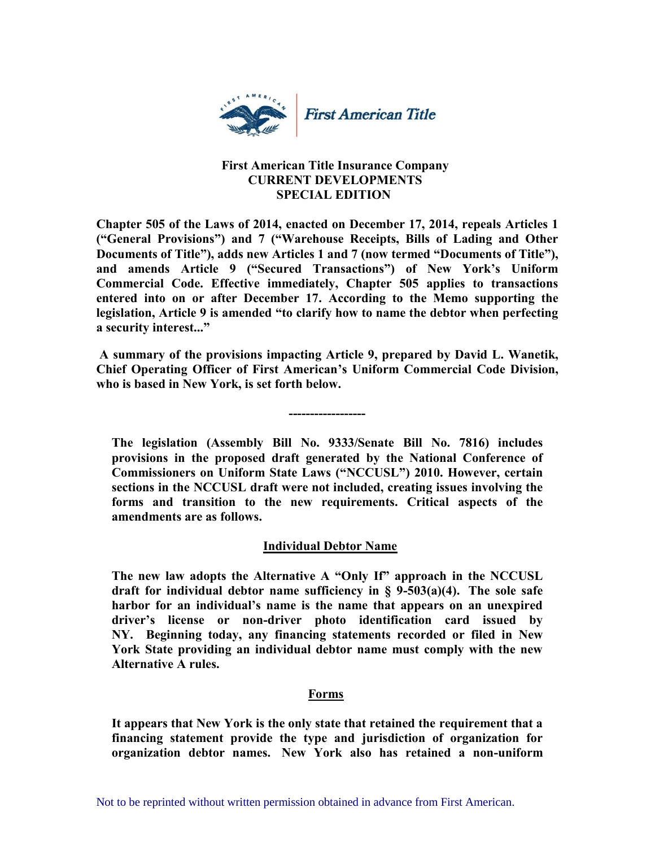

### **First American Title Insurance Company CURRENT DEVELOPMENTS SPECIAL EDITION**

**Chapter 505 of the Laws of 2014, enacted on December 17, 2014, repeals Articles 1 ("General Provisions") and 7 ("Warehouse Receipts, Bills of Lading and Other Documents of Title"), adds new Articles 1 and 7 (now termed "Documents of Title"), and amends Article 9 ("Secured Transactions") of New York's Uniform Commercial Code. Effective immediately, Chapter 505 applies to transactions entered into on or after December 17. According to the Memo supporting the legislation, Article 9 is amended "to clarify how to name the debtor when perfecting a security interest..."** 

**A summary of the provisions impacting Article 9, prepared by David L. Wanetik, Chief Operating Officer of First American's Uniform Commercial Code Division, who is based in New York, is set forth below.** 

 **------------------**

**The legislation (Assembly Bill No. 9333/Senate Bill No. 7816) includes provisions in the proposed draft generated by the National Conference of Commissioners on Uniform State Laws ("NCCUSL") 2010. However, certain sections in the NCCUSL draft were not included, creating issues involving the forms and transition to the new requirements. Critical aspects of the amendments are as follows.**

# **Individual Debtor Name**

**The new law adopts the Alternative A "Only If" approach in the NCCUSL draft for individual debtor name sufficiency in § 9-503(a)(4). The sole safe harbor for an individual's name is the name that appears on an unexpired driver's license or non-driver photo identification card issued by NY. Beginning today, any financing statements recorded or filed in New York State providing an individual debtor name must comply with the new Alternative A rules.**

# **Forms**

**It appears that New York is the only state that retained the requirement that a financing statement provide the type and jurisdiction of organization for organization debtor names. New York also has retained a non-uniform**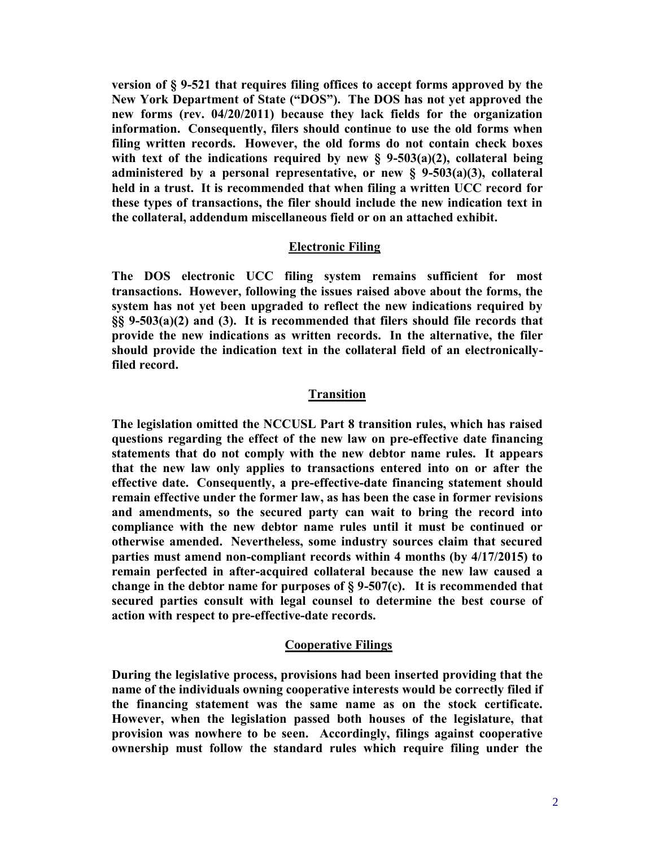**version of § 9-521 that requires filing offices to accept forms approved by the New York Department of State ("DOS"). The DOS has not yet approved the new forms (rev. 04/20/2011) because they lack fields for the organization information. Consequently, filers should continue to use the old forms when filing written records. However, the old forms do not contain check boxes with text of the indications required by new § 9-503(a)(2), collateral being administered by a personal representative, or new § 9-503(a)(3), collateral held in a trust. It is recommended that when filing a written UCC record for these types of transactions, the filer should include the new indication text in the collateral, addendum miscellaneous field or on an attached exhibit.** 

### **Electronic Filing**

**The DOS electronic UCC filing system remains sufficient for most transactions. However, following the issues raised above about the forms, the system has not yet been upgraded to reflect the new indications required by §§ 9-503(a)(2) and (3). It is recommended that filers should file records that provide the new indications as written records. In the alternative, the filer should provide the indication text in the collateral field of an electronicallyfiled record.** 

### **Transition**

**The legislation omitted the NCCUSL Part 8 transition rules, which has raised questions regarding the effect of the new law on pre-effective date financing statements that do not comply with the new debtor name rules. It appears that the new law only applies to transactions entered into on or after the effective date. Consequently, a pre-effective-date financing statement should remain effective under the former law, as has been the case in former revisions and amendments, so the secured party can wait to bring the record into compliance with the new debtor name rules until it must be continued or otherwise amended. Nevertheless, some industry sources claim that secured parties must amend non-compliant records within 4 months (by 4/17/2015) to remain perfected in after-acquired collateral because the new law caused a change in the debtor name for purposes of § 9-507(c). It is recommended that secured parties consult with legal counsel to determine the best course of action with respect to pre-effective-date records.** 

#### **Cooperative Filings**

**During the legislative process, provisions had been inserted providing that the name of the individuals owning cooperative interests would be correctly filed if the financing statement was the same name as on the stock certificate. However, when the legislation passed both houses of the legislature, that provision was nowhere to be seen. Accordingly, filings against cooperative ownership must follow the standard rules which require filing under the**